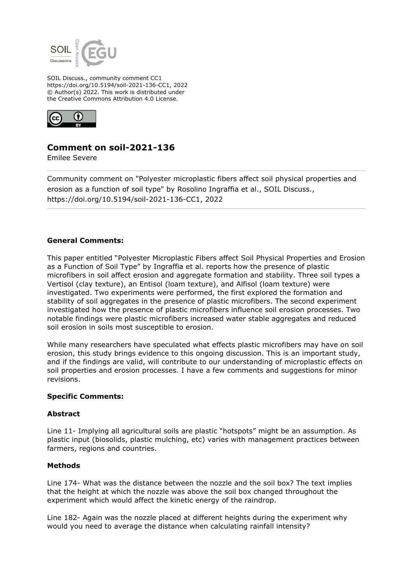

SOIL Discuss., community comment CC1 https://doi.org/10.5194/soil-2021-136-CC1, 2022 © Author(s) 2022. This work is distributed under the Creative Commons Attribution 4.0 License.



# **Comment on soil-2021-136**

Emilee Severe

Community comment on "Polyester microplastic fibers affect soil physical properties and erosion as a function of soil type" by Rosolino Ingraffia et al., SOIL Discuss., https://doi.org/10.5194/soil-2021-136-CC1, 2022

## **General Comments:**

This paper entitled "Polyester Microplastic Fibers affect Soil Physical Properties and Erosion as a Function of Soil Type" by Ingraffia et al. reports how the presence of plastic microfibers in soil affect erosion and aggregate formation and stability. Three soil types a Vertisol (clay texture), an Entisol (loam texture), and Alfisol (loam texture) were investigated. Two experiments were performed, the first explored the formation and stability of soil aggregates in the presence of plastic microfibers. The second experiment investigated how the presence of plastic microfibers influence soil erosion processes. Two notable findings were plastic microfibers increased water stable aggregates and reduced soil erosion in soils most susceptible to erosion.

While many researchers have speculated what effects plastic microfibers may have on soil erosion, this study brings evidence to this ongoing discussion. This is an important study, and if the findings are valid, will contribute to our understanding of microplastic effects on soil properties and erosion processes. I have a few comments and suggestions for minor revisions.

#### **Specific Comments:**

#### **Abstract**

Line 11- Implying all agricultural soils are plastic "hotspots" might be an assumption. As plastic input (biosolids, plastic mulching, etc) varies with management practices between farmers, regions and countries.

#### **Methods**

Line 174- What was the distance between the nozzle and the soil box? The text implies that the height at which the nozzle was above the soil box changed throughout the experiment which would affect the kinetic energy of the raindrop.

Line 182- Again was the nozzle placed at different heights during the experiment why would you need to average the distance when calculating rainfall intensity?